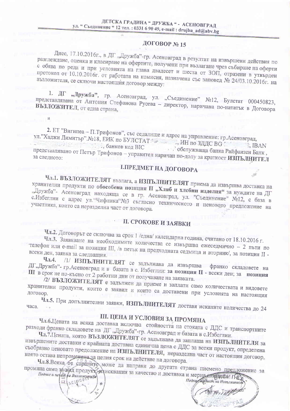#### ДОГОВОР № 15

Днес, 17.10.2016г., в ДГ "Дружба"-гр. Асеновград в резултат на извършени действия по разглеждане, оценка и класиране на офертите, получени при възлагане чрез събиране на оферти с обява по реда и при условията на глава двадесет и шеста от ЗОП, отразени в утвърден протокол от 10.10.2016г. от работата на комисия, назначена със заповед № 24/03.10.2016г. на възложителя, се сключи настоящия договор между:

1. ДГ "Дружба", гр. Асеновград, ул. "Съединение" №12, Булстат 000450823, представлявана от Антония Стефанова Русева - директор, наричана по-нататък в Договора

2. ЕТ "Вигипеа - П.Трифонов", със седалище и адрес на управление: гр.Асеновград, ул. "Хаджи Димитър". №18, ЕИК по БУЛСТАТ ................. ИН по ЗДДС ВС **Пользование в Пример Код ВІС**  $<sub>1</sub>$  IBAN</sub> обслужваща банка Райфаизен Банк,

представлявано от Петър Трифонов - управител наричан по-долу за краткост ИЗПЪЛНИТЕЛ

## І. ПРЕДМЕТ НА ДОГОВОРА

Чл.1. ВЪЗЛОЖИТЕЛЯТ възлага, а ИЗПЪЛНИТЕЛЯТ приема да извършва доставка на хранителни продукти по обособена позиция II "Хляб и хлебни изделия" за нуждите на ДГ "Дружба"- Асеновград находяща се в гр. Асеновград, ул. "Съединение" №12, с база в с.Избеглии с адрес ул. "Чифлика"№3 съгласно техническото и ценовото предложение на участника, които са неразделна част от договора.

### **II. СРОКОВЕ И ЗАЯВКИ**

Чл.2. Договорът се сключва за срок 1 /една/ календарна година, считано от 18.10.2016 г. Чл.3. Заявяване на необходимите количества се извършва ежеседмично - 2 пъти по телефон или e-mail за позиция III, /в петък на предходната седмица и вторник/, за позиция II -

/1/ ИЗПЪЛНИТЕЛЯТ се задължава да извършва  $q_{J1.4.}$ ДГ"Дружба"- гр. Асеновград и в базата в с. Избеглии: за позиция II - всеки ден; за позиция ПП в срок не по-късно от 2 работни дни от получаване на заявката.

72/ ВЪЗЛОЖИТЕЛЯТ е задължен да приеме и заплати само количествата и видовете хранителни продукти, които е заявил и които са доставени при условията на настоящия

Чл.5. При допълнителни заявки, ИЗПЪЛНИТЕЛЯТ доставя исканите количества до 24 часа.

# III. ЦЕНА И УСЛОВИЯ ЗА ПРОМЯНА

Чл.6.Цената на всяка доставка включва стойността на стоката с ДДС и транспортните разходи франко складовете на ДГ "Дружба"-гр. Асеновград и базата в с.Избеглии.

Чл.7.Цената, която ВЪЗЛОЖИТЕЛЯТ се задължава да заплаща на ИЗПЪЛНИТЕЛЯ за извършените доставки е крайната доставна единична цена с ДДС за всеки продукт, определена съобразно ценовато предолжение на ИЗПЪЛНИТЕЛЯ, неразделна част от настоящия договор, която остава непроменена за целия срок на действие на договора.

Чл.8.Всяка от страните може да направи до другата страна писмено предложение за промяна само за вид продукт, изисквания за качество и доставка и мерна слишками

Подпис и перат на Възложните да  $\alpha$  ( $x$ certor

 $\overline{M}$ 

Подпуслатенат на Изпълните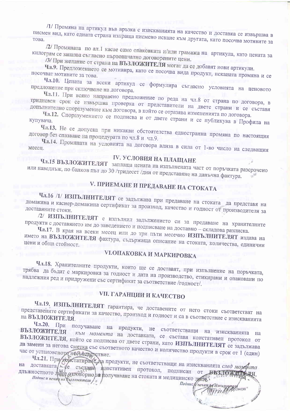/1/ Промяна на артикул във връзка с изискванията на качество и доставка се извършва в писмен вид, като едната страна изпраща писмено искане към другата, като посочва мотивите за

/2/ Промяната по ал.1 касае само опаковката и/или грамажа на артикула, като цената за килограм се запазва съгласно първоначално договорените цени.

73/ При желание от страна на ВЪЗЛОЖИТЕЛЯ могат да се добавят нови артикули.

Чл.9. Предложението се мотивира, като се посочва вида продукт, исканата промяна и се посочват мотивите за това.

Чл.10. Цената за всеки артикул се формулира съгласно условията на ценовото предложение при сключване на договора.

Чл.11. При всяко направено предложение по реда на чл.8 от страна по договора, в тридневен срок се извършва проверка от представители на двете страни и се съставя допълнително споразумение към договора, в който се отразява измененията по договора.

Чл.12. Споразумението се подписва и от двете страни и се публикува в Профила на купувача.

Чл.13. Не се допуска при никакви обстоятелства едностранна промяна по настоящия договор без спазване на процедурата по чл.8 и чл.9.

Чл.14. Промяната на условията на договора влиза в сила от 1-во число на следващия месец.

## **IV. УСЛОВИЯ НА ПЛАЩАНЕ**

Чл.15 ВЪЗЛОЖИТЕЛЯТ заплаща цената на изпълнената част от поръчката разсрочено или наведнъж, по банков път до 30 /тридесет /дни от представяне на данъчна фактура.

# V. ПРИЕМАНЕ И ПРЕДАВАНЕ НА СТОКАТА

Чл.16 /1/ ИЗПЪЛНИТЕЛЯТ се задължава при предаване на стоката да представя на домакина и касиер-домакина сертификат за произход, качество и годност от производителя за

/2/ ИЗПЪЛНИТЕЛЯТ е изпълнил задължението си за предаване на хранителните продукти с доставянето им до заведението и подписване на доставно - складова разписка.

Чл.17. В края на всеки месец или до три пъти месечно ИЗПЪЛНИТЕЛЯТ издава на името на ВЪЗЛОЖИТЕЛЯ фактура, съдържаща описание на стоката, количества, единични

## **VI.OПАКОВКА И МАРКИРОВКА**

Чл.18. Хранителните продукти, които ще се доставят, при изпълнение на поръчката, трябва да бъдат с маркировка за годност и дата на производство, етикирани и опаковани по надлежния ред и придружени със сертификат за съответствие /годност/.

## **УП. ГАРАНЦИИ И КАЧЕСТВО**

Чл.19. ИЗПЪЛНИТЕЛЯТ гарантира, че доставените от него стоки съответстват на представените сертификати за качество, произход и годност и са в съответствие с изискванията

Чл.20. При получаване на продукти, не съответстващи на изискванията на ВЪЗЛОЖИТЕЛЯ към момента на доставката, се съставя констативен протокол от ВЪЗЛОЖИТЕЛЯ, който се подписва от двете страни, като ИЗПЪЛНИТЕЛЯТ се задължава да замени за негова сметка със съответното качество и количество продукти в срок от 1 (един) час от установеното несъетвретствие.

Чл.21. При констатираце да продукти, не съответстващи на изискванията след моусита на доставката де състания констативен протокол, подписан от длъжностното лице отговорно за получаване на стоката и медицинско пите у ВЪЗЛОЖИТЕЛЯ. Подпис и печат на Възложителя / г

Подпис и печат уд Изпълнит

OHOR<sup>'</sup>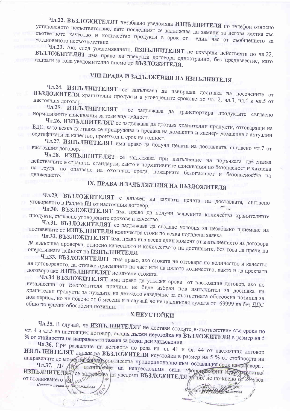#### Чл.22. ВЪЗЛОЖИТЕЛЯТ незабавно уведомява ИЗПЪЛНИТЕЛЯ по телефон относно установеното несъответствие, като последният се задължава да замени за негова сметка със съответното качество и количество продукти в срок от един час от съобщението за установеното несъответствие.

Чл.23. Ако след уведомяването, ИЗПЪЛНИТЕЛЯТ не извърши действията по чл.22, ВЪЗЛОЖИТЕЛЯТ има право да прекрати договора едностранно, без предизвестие, като изпрати за това уведомително писмо до ВЪЗЛОЖИТЕЛЯ.

# **VIII.ПРАВА И ЗАДЪЛЖЕНИЯ НА ИЗПЪЛНИТЕЛЯ**

Чл.24. ИЗПЪЛНИТЕЛЯТ се задължава да извършва доставка на посочените от ВЪЗЛОЖИТЕЛЯ хранителни продукти в уговорените срокове по чл. 2, чл.3, чл.4 и чл.5 от

Чл.25. ИЗПЪЛНИТЕЛЯТ се задължава да транспортира продуктите съгласно нормативните изисквания за този вид дейност.

Чл.26. ИЗПЪЛНИТЕЛЯТ се задължава да доставя хранителни продукти, отговарящи на БДС, като всяка доставка се придружава и предава на домакина и касиер-домакина с актуални сертификати за качество, произход и срок на годност.

Чл.27. ИЗПЪЛНИТЕЛЯТ има право да получи цената на доставката, съгласно чл.7 от настоящия договор.

Чл.28. ИЗПЪЛНИТЕЛЯТ се задължава при изпълнение на поръчката да спазва действащите в страната стандарти, както и нормативните изисквания по безопасност и хигиена на труда, по опазване на околната среда, пожарната безопасност и безопасността на

# IX. ПРАВА И ЗАДЪЛЖЕНИЯ НА ВЪЗЛОЖИТЕЛЯ

Чл.29. ВЪЗЛОЖИТЕЛЯТ е длъжен да заплати цената на доставката, съгласно уговореното в Раздел III от настоящия договор.

Чл.30. ВЪЗЛОЖИТЕЛЯТ има право да получи заявените количества хранителните продукти, съгласно уговорените срокове и качество.

Чл.31. ВЪЗЛОЖИТЕЛЯТ се задължава да създаде условия за незабавно приемане на доставените от ИЗПЪЛНИТЕЛЯ количества стоки по всяка подадена заявка.

Чл.32. ВЪЗЛОЖИТЕЛЯТ има право във всеки един момент от изпълнението на договора да извършва проверка, относно качеството и количеството на доставките, без това да пречи на оперативната дейност на ИЗПЪЛНИТЕЛЯ.

Чл.33. ВЪЗЛОЖИТЕЛЯТ има право, ако стоката не отговаря по количество и качество на договореното, да откаже приемането на част или на цялото количество, както и да прекрати договора ако ИЗПЪЛНИТЕЛЯТ не замени стоката.

Чл.34 ВЪЗЛОЖИТЕЛЯТ има право да удължи срока от настоящия договор, ако по независещи от Възложителя причини не бъде избран нов изпълнител за доставка на хранителни продукти за нуждите на детското заведение за съответната обособена позиция за нов период, но не повече от 6 месеца и в случай че не надхвърля сумата от 69999 лв без ДДС общо по всички обособени позиции.

#### **Х.НЕУСТОЙКИ**

Чл.35. В случай, че ИЗПЪЛНИТЕЛЯТ не достави стоките в съответствие със срока по чл. 4 и чл.5 на настоящия договор, същия дължи неустойка на ВЪЗЛОЖИТЕЛЯ в размер на 5 % от стойността на направената заявка за всеки ден закъснение.

Чл.36. При разваляне на договора по реда на чл. 41 и чл. 44 от настоящия договор ИЗПЪЛНИТЕЛЯТ дължи на ВЪЗЛОЖИТЕЛЯ неустойка в размер на 5 % от стойността на

направените до момента заявия съотнесена пропорционално към оставащия срок на доповора. Чл.37. /1/ При възникване на непреодолима сила форсмажерни иорегумелства/ ИЗПЪЛНИТЕЛЯТ се задряжава да уведоми ВЪЗЛОЖИТЕЛЯ за тях не по-късно от 24 часа

Hoonugu Hy

лиштеля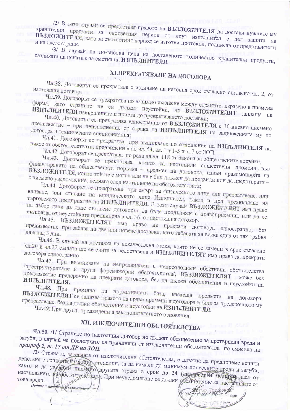/2/ В този случай се предоставя правото на ВЪЗЛОЖИТЕЛЯ да достави нужните му хранителни продукти за съответния период от друг изпълнител с цел защита на ВЪЗЛОЖИТЕЛЯ, като за съответния период се изготви протокол, подписан от представители

/3/ В случай на по-висока цена на доставеното количество хранителни продукти, разликата на цената е за сметка на ИЗПЪЛНИТЕЛЯ.

# ХІ. ПРЕКРАТЯВАНЕ НА ДОГОВОРА

Чл.38. Договорът се прекратява с изтичане на неговия срок съгласно съгласно чл. 2, от настоящия договор;

Чл.39. Договорът се прекратява по взаимно съгласие между страните, изразено в писмена

форма, като страните не си дължат неустойки, но ВЪЗЛОЖИТЕЛЯТ заплаща на ИЗПЪЛНИТЕЛЯ извършените и приети до прекратяването доставки;

Чл.40. Договорът се прекратява едностранно от ВЪЗЛОЖИТЕЛЯ с 10-дневно писмено предизвестие - при неизпълнение от страна на ИЗПЪЛНИТЕЛЯ на задълженията му по

Чл.41. Договорът се прекратява при възникване по отношение на ИЗПЪЛНИТЕЛЯ на някое от обстоятелствата, предвидени в по чл. 54, ал. 1 т 1-5 и т. 7 от ЗОП.

Чл.42. Договорът се прекратява по реда на чл. 118 от Закона за обществените поръ тки;

Чл.43. Договорът се прекратява, когато са настъпили съществени промени във финансирането на обществената поръчка - предмет на договора, извън правомощита на ВЪЗЛОЖИТЕЛЯ, които той не е могъл или не е бил длъжен да предвиди или да предотврати с писмено уведомление, веднага след настъпване на обстоятелствата;

Чл.44. Договорът се прекратява при смърт на физическото лице или прекратяване, или вливане, или сливане на юридическото лице Изпълнител, както и при прехвърляне на търговското предприятие на ИЗПЪЛНИТЕЛЯ. В този случай ВЪЗЛОЖИТЕЛЯТ има право на избор дали да даде съгласие договорът да бъде продължен с правоприемник или да се

възползва от неустойката предвидена в чл. 36 от настоящия договор. Чл.45. ВЪЗЛОЖИТЕЛЯТ има право да прекрати договора едностранно, без предизвестие при забава на две или повече доставки, като забавата за всяка една от тях трябва

Чл.46. В случай на доставка на некачествена стока, която не се замени в срок съгласно чл.20 и чл.22 същата ще се счита за недоставена и ИЗПЪЛНИТЕЛЯТ има право да прекрати

Чл.47. При възникване на непредвидими и непреодолими обективни обстоятелства /преструктуриране и други форсмажорни обстоятелства/, ВЪЗЛОЖИТЕЛЯТ може без предизвестие предсрочно да прекрати договора, без да дължи обезщетения и неустойки на

Чл.48. При промяна на нормативната база, касаеща предмета ВЪЗЛОЖИТЕЛЯТ си запазва правото да прави промени в договора и /или за предсрочното му

прекратяване, без да дължи обезщетение и неустойки на ИЗПЪЛНИТЕЛЯ. Чл.49. При други, предвидени в законодателството основания.

# ХІІ. ИЗКЛЮЧИТЕЛНИ ОБСТОЯТЕЛСТВА

Чл.50. /1/ Страните по настоящия договор не дължат обезщетение за претърпени вреди и загуби, в случай че последните са причинени от изключителни обстоятелства по смисъла на

/2/ Страната, засегната от изключителни обстоятелства, е длъжна да предприеме всички действия с грижата на добър стопанин, за да намали до минимум понесените вреди и загуби, както и да уведоми писмено другата страна в срок до 24 (двадесет и нетири) часа от настъпването на обстоятелете на при неуведомяване се дължи обезитетение за наступилите от

**PROBEPA**